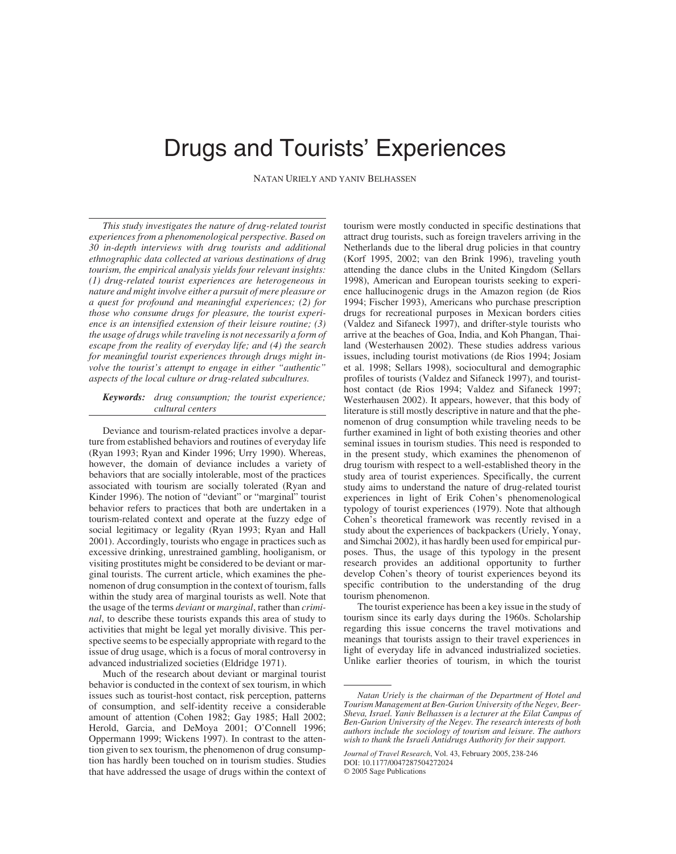# Drugs and Tourists' Experiences

NATAN URIELY AND YANIV BELHASSEN

*This study investigates the nature of drug-related tourist experiences from a phenomenological perspective. Based on 30 in-depth interviews with drug tourists and additional ethnographic data collected at various destinations of drug tourism, the empirical analysis yields four relevant insights: (1) drug-related tourist experiences are heterogeneous in nature and might involve either a pursuit of mere pleasure or a quest for profound and meaningful experiences; (2) for those who consume drugs for pleasure, the tourist experience is an intensified extension of their leisure routine; (3) the usage of drugs while traveling is not necessarily a form of escape from the reality of everyday life; and (4) the search for meaningful tourist experiences through drugs might involve the tourist's attempt to engage in either "authentic" aspects of the local culture or drug-related subcultures.*

### *Keywords: drug consumption; the tourist experience; cultural centers*

Deviance and tourism-related practices involve a departure from established behaviors and routines of everyday life (Ryan 1993; Ryan and Kinder 1996; Urry 1990). Whereas, however, the domain of deviance includes a variety of behaviors that are socially intolerable, most of the practices associated with tourism are socially tolerated (Ryan and Kinder 1996). The notion of "deviant" or "marginal" tourist behavior refers to practices that both are undertaken in a tourism-related context and operate at the fuzzy edge of social legitimacy or legality (Ryan 1993; Ryan and Hall 2001). Accordingly, tourists who engage in practices such as excessive drinking, unrestrained gambling, hooliganism, or visiting prostitutes might be considered to be deviant or marginal tourists. The current article, which examines the phenomenon of drug consumption in the context of tourism, falls within the study area of marginal tourists as well. Note that the usage of the terms *deviant* or *marginal*, rather than *criminal*, to describe these tourists expands this area of study to activities that might be legal yet morally divisive. This perspective seems to be especially appropriate with regard to the issue of drug usage, which is a focus of moral controversy in advanced industrialized societies (Eldridge 1971).

Much of the research about deviant or marginal tourist behavior is conducted in the context of sex tourism, in which issues such as tourist-host contact, risk perception, patterns of consumption, and self-identity receive a considerable amount of attention (Cohen 1982; Gay 1985; Hall 2002; Herold, Garcia, and DeMoya 2001; O'Connell 1996; Oppermann 1999; Wickens 1997). In contrast to the attention given to sex tourism, the phenomenon of drug consumption has hardly been touched on in tourism studies. Studies that have addressed the usage of drugs within the context of tourism were mostly conducted in specific destinations that attract drug tourists, such as foreign travelers arriving in the Netherlands due to the liberal drug policies in that country (Korf 1995, 2002; van den Brink 1996), traveling youth attending the dance clubs in the United Kingdom (Sellars 1998), American and European tourists seeking to experience hallucinogenic drugs in the Amazon region (de Rios 1994; Fischer 1993), Americans who purchase prescription drugs for recreational purposes in Mexican borders cities (Valdez and Sifaneck 1997), and drifter-style tourists who arrive at the beaches of Goa, India, and Koh Phangan, Thailand (Westerhausen 2002). These studies address various issues, including tourist motivations (de Rios 1994; Josiam et al. 1998; Sellars 1998), sociocultural and demographic profiles of tourists (Valdez and Sifaneck 1997), and touristhost contact (de Rios 1994; Valdez and Sifaneck 1997; Westerhausen 2002). It appears, however, that this body of literature is still mostly descriptive in nature and that the phenomenon of drug consumption while traveling needs to be further examined in light of both existing theories and other seminal issues in tourism studies. This need is responded to in the present study, which examines the phenomenon of drug tourism with respect to a well-established theory in the study area of tourist experiences. Specifically, the current study aims to understand the nature of drug-related tourist experiences in light of Erik Cohen's phenomenological typology of tourist experiences (1979). Note that although Cohen's theoretical framework was recently revised in a study about the experiences of backpackers (Uriely, Yonay, and Simchai 2002), it has hardly been used for empirical purposes. Thus, the usage of this typology in the present research provides an additional opportunity to further develop Cohen's theory of tourist experiences beyond its specific contribution to the understanding of the drug tourism phenomenon.

The tourist experience has been a key issue in the study of tourism since its early days during the 1960s. Scholarship regarding this issue concerns the travel motivations and meanings that tourists assign to their travel experiences in light of everyday life in advanced industrialized societies. Unlike earlier theories of tourism, in which the tourist

*Natan Uriely is the chairman of the Department of Hotel and Tourism Management at Ben-Gurion University of the Negev, Beer-Sheva, Israel. Yaniv Belhassen is a lecturer at the Eilat Campus of Ben-Gurion University of the Negev. The research interests of both authors include the sociology of tourism and leisure. The authors wish to thank the Israeli Antidrugs Authority for their support.*

*Journal of Travel Research*, Vol. 43, February 2005, 238-246 DOI: 10.1177/0047287504272024 © 2005 Sage Publications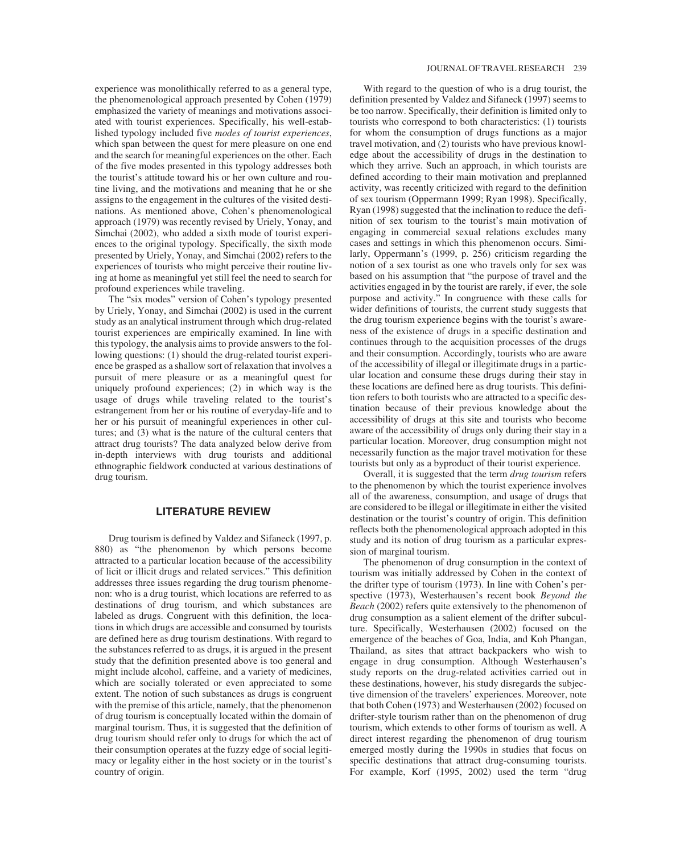experience was monolithically referred to as a general type, the phenomenological approach presented by Cohen (1979) emphasized the variety of meanings and motivations associated with tourist experiences. Specifically, his well-established typology included five *modes of tourist experiences*, which span between the quest for mere pleasure on one end and the search for meaningful experiences on the other. Each of the five modes presented in this typology addresses both the tourist's attitude toward his or her own culture and routine living, and the motivations and meaning that he or she assigns to the engagement in the cultures of the visited destinations. As mentioned above, Cohen's phenomenological approach (1979) was recently revised by Uriely, Yonay, and Simchai (2002), who added a sixth mode of tourist experiences to the original typology. Specifically, the sixth mode presented by Uriely, Yonay, and Simchai (2002) refers to the experiences of tourists who might perceive their routine living at home as meaningful yet still feel the need to search for profound experiences while traveling.

The "six modes" version of Cohen's typology presented by Uriely, Yonay, and Simchai (2002) is used in the current study as an analytical instrument through which drug-related tourist experiences are empirically examined. In line with this typology, the analysis aims to provide answers to the following questions: (1) should the drug-related tourist experience be grasped as a shallow sort of relaxation that involves a pursuit of mere pleasure or as a meaningful quest for uniquely profound experiences; (2) in which way is the usage of drugs while traveling related to the tourist's estrangement from her or his routine of everyday-life and to her or his pursuit of meaningful experiences in other cultures; and (3) what is the nature of the cultural centers that attract drug tourists? The data analyzed below derive from in-depth interviews with drug tourists and additional ethnographic fieldwork conducted at various destinations of drug tourism.

## **LITERATURE REVIEW**

Drug tourism is defined by Valdez and Sifaneck (1997, p. 880) as "the phenomenon by which persons become attracted to a particular location because of the accessibility of licit or illicit drugs and related services." This definition addresses three issues regarding the drug tourism phenomenon: who is a drug tourist, which locations are referred to as destinations of drug tourism, and which substances are labeled as drugs. Congruent with this definition, the locations in which drugs are accessible and consumed by tourists are defined here as drug tourism destinations. With regard to the substances referred to as drugs, it is argued in the present study that the definition presented above is too general and might include alcohol, caffeine, and a variety of medicines, which are socially tolerated or even appreciated to some extent. The notion of such substances as drugs is congruent with the premise of this article, namely, that the phenomenon of drug tourism is conceptually located within the domain of marginal tourism. Thus, it is suggested that the definition of drug tourism should refer only to drugs for which the act of their consumption operates at the fuzzy edge of social legitimacy or legality either in the host society or in the tourist's country of origin.

With regard to the question of who is a drug tourist, the definition presented by Valdez and Sifaneck (1997) seems to be too narrow. Specifically, their definition is limited only to tourists who correspond to both characteristics: (1) tourists for whom the consumption of drugs functions as a major travel motivation, and (2) tourists who have previous knowledge about the accessibility of drugs in the destination to which they arrive. Such an approach, in which tourists are defined according to their main motivation and preplanned activity, was recently criticized with regard to the definition of sex tourism (Oppermann 1999; Ryan 1998). Specifically, Ryan (1998) suggested that the inclination to reduce the definition of sex tourism to the tourist's main motivation of engaging in commercial sexual relations excludes many cases and settings in which this phenomenon occurs. Similarly, Oppermann's (1999, p. 256) criticism regarding the notion of a sex tourist as one who travels only for sex was based on his assumption that "the purpose of travel and the activities engaged in by the tourist are rarely, if ever, the sole purpose and activity." In congruence with these calls for wider definitions of tourists, the current study suggests that the drug tourism experience begins with the tourist's awareness of the existence of drugs in a specific destination and continues through to the acquisition processes of the drugs and their consumption. Accordingly, tourists who are aware of the accessibility of illegal or illegitimate drugs in a particular location and consume these drugs during their stay in these locations are defined here as drug tourists. This definition refers to both tourists who are attracted to a specific destination because of their previous knowledge about the accessibility of drugs at this site and tourists who become aware of the accessibility of drugs only during their stay in a particular location. Moreover, drug consumption might not necessarily function as the major travel motivation for these tourists but only as a byproduct of their tourist experience.

Overall, it is suggested that the term *drug tourism* refers to the phenomenon by which the tourist experience involves all of the awareness, consumption, and usage of drugs that are considered to be illegal or illegitimate in either the visited destination or the tourist's country of origin. This definition reflects both the phenomenological approach adopted in this study and its notion of drug tourism as a particular expression of marginal tourism.

The phenomenon of drug consumption in the context of tourism was initially addressed by Cohen in the context of the drifter type of tourism (1973). In line with Cohen's perspective (1973), Westerhausen's recent book *Beyond the Beach* (2002) refers quite extensively to the phenomenon of drug consumption as a salient element of the drifter subculture. Specifically, Westerhausen (2002) focused on the emergence of the beaches of Goa, India, and Koh Phangan, Thailand, as sites that attract backpackers who wish to engage in drug consumption. Although Westerhausen's study reports on the drug-related activities carried out in these destinations, however, his study disregards the subjective dimension of the travelers' experiences. Moreover, note that both Cohen (1973) and Westerhausen (2002) focused on drifter-style tourism rather than on the phenomenon of drug tourism, which extends to other forms of tourism as well. A direct interest regarding the phenomenon of drug tourism emerged mostly during the 1990s in studies that focus on specific destinations that attract drug-consuming tourists. For example, Korf (1995, 2002) used the term "drug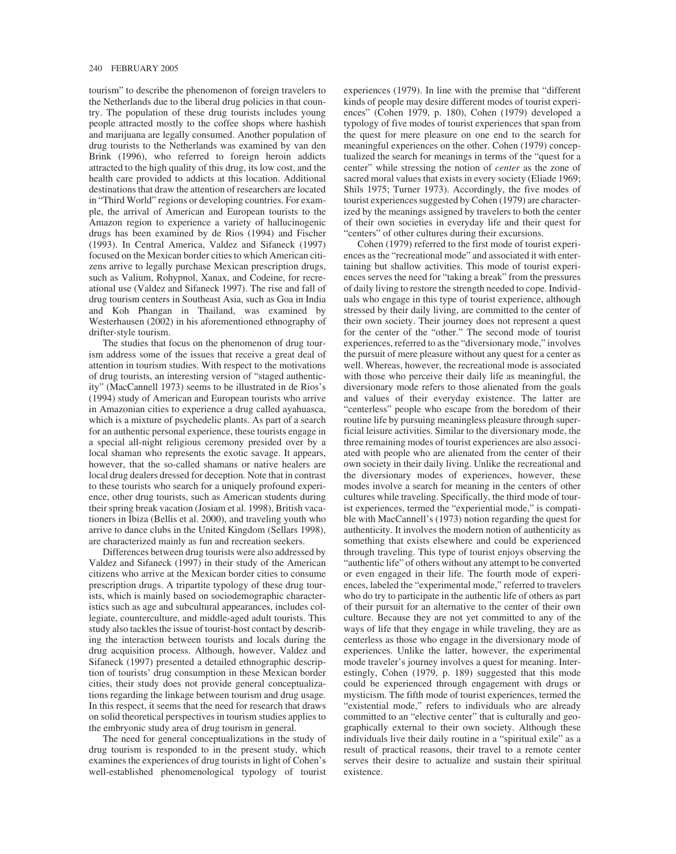tourism" to describe the phenomenon of foreign travelers to the Netherlands due to the liberal drug policies in that country. The population of these drug tourists includes young people attracted mostly to the coffee shops where hashish and marijuana are legally consumed. Another population of drug tourists to the Netherlands was examined by van den Brink (1996), who referred to foreign heroin addicts attracted to the high quality of this drug, its low cost, and the health care provided to addicts at this location. Additional destinations that draw the attention of researchers are located in "Third World" regions or developing countries. For example, the arrival of American and European tourists to the Amazon region to experience a variety of hallucinogenic drugs has been examined by de Rios (1994) and Fischer (1993). In Central America, Valdez and Sifaneck (1997) focused on the Mexican border cities to which American citizens arrive to legally purchase Mexican prescription drugs, such as Valium, Rohypnol, Xanax, and Codeine, for recreational use (Valdez and Sifaneck 1997). The rise and fall of drug tourism centers in Southeast Asia, such as Goa in India and Koh Phangan in Thailand, was examined by Westerhausen (2002) in his aforementioned ethnography of drifter-style tourism.

The studies that focus on the phenomenon of drug tourism address some of the issues that receive a great deal of attention in tourism studies. With respect to the motivations of drug tourists, an interesting version of "staged authenticity" (MacCannell 1973) seems to be illustrated in de Rios's (1994) study of American and European tourists who arrive in Amazonian cities to experience a drug called ayahuasca, which is a mixture of psychedelic plants. As part of a search for an authentic personal experience, these tourists engage in a special all-night religious ceremony presided over by a local shaman who represents the exotic savage. It appears, however, that the so-called shamans or native healers are local drug dealers dressed for deception. Note that in contrast to these tourists who search for a uniquely profound experience, other drug tourists, such as American students during their spring break vacation (Josiam et al. 1998), British vacationers in Ibiza (Bellis et al. 2000), and traveling youth who arrive to dance clubs in the United Kingdom (Sellars 1998), are characterized mainly as fun and recreation seekers.

Differences between drug tourists were also addressed by Valdez and Sifaneck (1997) in their study of the American citizens who arrive at the Mexican border cities to consume prescription drugs. A tripartite typology of these drug tourists, which is mainly based on sociodemographic characteristics such as age and subcultural appearances, includes collegiate, counterculture, and middle-aged adult tourists. This study also tackles the issue of tourist-host contact by describing the interaction between tourists and locals during the drug acquisition process. Although, however, Valdez and Sifaneck (1997) presented a detailed ethnographic description of tourists' drug consumption in these Mexican border cities, their study does not provide general conceptualizations regarding the linkage between tourism and drug usage. In this respect, it seems that the need for research that draws on solid theoretical perspectives in tourism studies applies to the embryonic study area of drug tourism in general.

The need for general conceptualizations in the study of drug tourism is responded to in the present study, which examines the experiences of drug tourists in light of Cohen's well-established phenomenological typology of tourist

experiences (1979). In line with the premise that "different kinds of people may desire different modes of tourist experiences" (Cohen 1979, p. 180), Cohen (1979) developed a typology of five modes of tourist experiences that span from the quest for mere pleasure on one end to the search for meaningful experiences on the other. Cohen (1979) conceptualized the search for meanings in terms of the "quest for a center" while stressing the notion of *center* as the zone of sacred moral values that exists in every society (Eliade 1969; Shils 1975; Turner 1973). Accordingly, the five modes of tourist experiences suggested by Cohen (1979) are characterized by the meanings assigned by travelers to both the center of their own societies in everyday life and their quest for "centers" of other cultures during their excursions.

Cohen (1979) referred to the first mode of tourist experiences as the "recreational mode" and associated it with entertaining but shallow activities. This mode of tourist experiences serves the need for "taking a break" from the pressures of daily living to restore the strength needed to cope. Individuals who engage in this type of tourist experience, although stressed by their daily living, are committed to the center of their own society. Their journey does not represent a quest for the center of the "other." The second mode of tourist experiences, referred to as the "diversionary mode," involves the pursuit of mere pleasure without any quest for a center as well. Whereas, however, the recreational mode is associated with those who perceive their daily life as meaningful, the diversionary mode refers to those alienated from the goals and values of their everyday existence. The latter are "centerless" people who escape from the boredom of their routine life by pursuing meaningless pleasure through superficial leisure activities. Similar to the diversionary mode, the three remaining modes of tourist experiences are also associated with people who are alienated from the center of their own society in their daily living. Unlike the recreational and the diversionary modes of experiences, however, these modes involve a search for meaning in the centers of other cultures while traveling. Specifically, the third mode of tourist experiences, termed the "experiential mode," is compatible with MacCannell's (1973) notion regarding the quest for authenticity. It involves the modern notion of authenticity as something that exists elsewhere and could be experienced through traveling. This type of tourist enjoys observing the "authentic life" of others without any attempt to be converted or even engaged in their life. The fourth mode of experiences, labeled the "experimental mode," referred to travelers who do try to participate in the authentic life of others as part of their pursuit for an alternative to the center of their own culture. Because they are not yet committed to any of the ways of life that they engage in while traveling, they are as centerless as those who engage in the diversionary mode of experiences. Unlike the latter, however, the experimental mode traveler's journey involves a quest for meaning. Interestingly, Cohen (1979, p. 189) suggested that this mode could be experienced through engagement with drugs or mysticism. The fifth mode of tourist experiences, termed the "existential mode," refers to individuals who are already committed to an "elective center" that is culturally and geographically external to their own society. Although these individuals live their daily routine in a "spiritual exile" as a result of practical reasons, their travel to a remote center serves their desire to actualize and sustain their spiritual existence.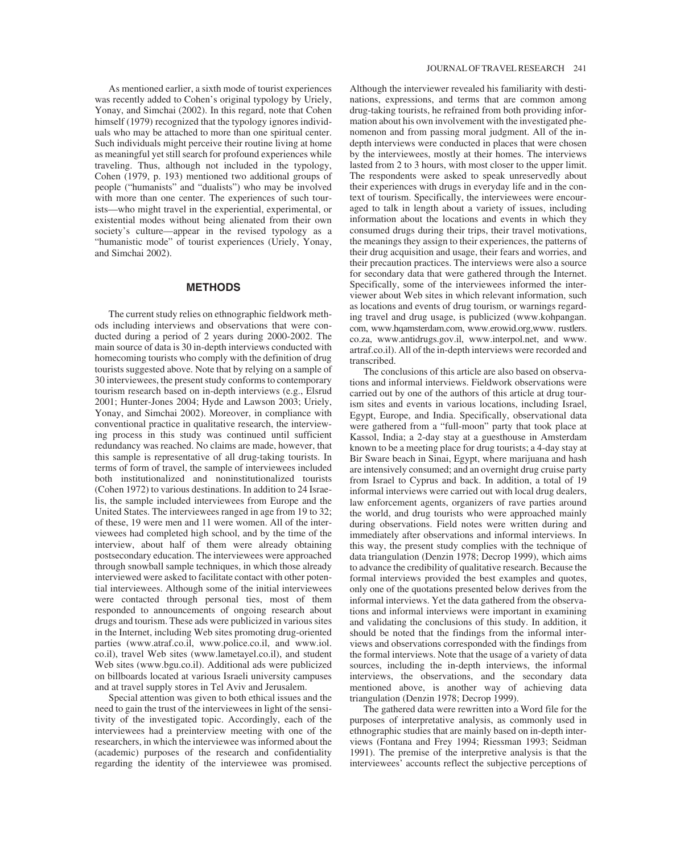As mentioned earlier, a sixth mode of tourist experiences was recently added to Cohen's original typology by Uriely, Yonay, and Simchai (2002). In this regard, note that Cohen himself (1979) recognized that the typology ignores individuals who may be attached to more than one spiritual center. Such individuals might perceive their routine living at home as meaningful yet still search for profound experiences while traveling. Thus, although not included in the typology, Cohen (1979, p. 193) mentioned two additional groups of people ("humanists" and "dualists") who may be involved with more than one center. The experiences of such tourists—who might travel in the experiential, experimental, or existential modes without being alienated from their own society's culture—appear in the revised typology as a "humanistic mode" of tourist experiences (Uriely, Yonay, and Simchai 2002).

## **METHODS**

The current study relies on ethnographic fieldwork methods including interviews and observations that were conducted during a period of 2 years during 2000-2002. The main source of data is 30 in-depth interviews conducted with homecoming tourists who comply with the definition of drug tourists suggested above. Note that by relying on a sample of 30 interviewees, the present study conforms to contemporary tourism research based on in-depth interviews (e.g., Elsrud 2001; Hunter-Jones 2004; Hyde and Lawson 2003; Uriely, Yonay, and Simchai 2002). Moreover, in compliance with conventional practice in qualitative research, the interviewing process in this study was continued until sufficient redundancy was reached. No claims are made, however, that this sample is representative of all drug-taking tourists. In terms of form of travel, the sample of interviewees included both institutionalized and noninstitutionalized tourists (Cohen 1972) to various destinations. In addition to 24 Israelis, the sample included interviewees from Europe and the United States. The interviewees ranged in age from 19 to 32; of these, 19 were men and 11 were women. All of the interviewees had completed high school, and by the time of the interview, about half of them were already obtaining postsecondary education. The interviewees were approached through snowball sample techniques, in which those already interviewed were asked to facilitate contact with other potential interviewees. Although some of the initial interviewees were contacted through personal ties, most of them responded to announcements of ongoing research about drugs and tourism. These ads were publicized in various sites in the Internet, including Web sites promoting drug-oriented parties (www.atraf.co.il, www.police.co.il, and www.iol. co.il), travel Web sites (www.lametayel.co.il), and student Web sites (www.bgu.co.il). Additional ads were publicized on billboards located at various Israeli university campuses and at travel supply stores in Tel Aviv and Jerusalem.

Special attention was given to both ethical issues and the need to gain the trust of the interviewees in light of the sensitivity of the investigated topic. Accordingly, each of the interviewees had a preinterview meeting with one of the researchers, in which the interviewee was informed about the (academic) purposes of the research and confidentiality regarding the identity of the interviewee was promised.

Although the interviewer revealed his familiarity with destinations, expressions, and terms that are common among drug-taking tourists, he refrained from both providing information about his own involvement with the investigated phenomenon and from passing moral judgment. All of the indepth interviews were conducted in places that were chosen by the interviewees, mostly at their homes. The interviews lasted from 2 to 3 hours, with most closer to the upper limit. The respondents were asked to speak unreservedly about their experiences with drugs in everyday life and in the context of tourism. Specifically, the interviewees were encouraged to talk in length about a variety of issues, including information about the locations and events in which they consumed drugs during their trips, their travel motivations, the meanings they assign to their experiences, the patterns of their drug acquisition and usage, their fears and worries, and their precaution practices. The interviews were also a source for secondary data that were gathered through the Internet. Specifically, some of the interviewees informed the interviewer about Web sites in which relevant information, such as locations and events of drug tourism, or warnings regarding travel and drug usage, is publicized (www.kohpangan. com, www.hqamsterdam.com, www.erowid.org,www. rustlers. co.za, www.antidrugs.gov.il, www.interpol.net, and www. artraf.co.il). All of the in-depth interviews were recorded and transcribed.

The conclusions of this article are also based on observations and informal interviews. Fieldwork observations were carried out by one of the authors of this article at drug tourism sites and events in various locations, including Israel, Egypt, Europe, and India. Specifically, observational data were gathered from a "full-moon" party that took place at Kassol, India; a 2-day stay at a guesthouse in Amsterdam known to be a meeting place for drug tourists; a 4-day stay at Bir Sware beach in Sinai, Egypt, where marijuana and hash are intensively consumed; and an overnight drug cruise party from Israel to Cyprus and back. In addition, a total of 19 informal interviews were carried out with local drug dealers, law enforcement agents, organizers of rave parties around the world, and drug tourists who were approached mainly during observations. Field notes were written during and immediately after observations and informal interviews. In this way, the present study complies with the technique of data triangulation (Denzin 1978; Decrop 1999), which aims to advance the credibility of qualitative research. Because the formal interviews provided the best examples and quotes, only one of the quotations presented below derives from the informal interviews. Yet the data gathered from the observations and informal interviews were important in examining and validating the conclusions of this study. In addition, it should be noted that the findings from the informal interviews and observations corresponded with the findings from the formal interviews. Note that the usage of a variety of data sources, including the in-depth interviews, the informal interviews, the observations, and the secondary data mentioned above, is another way of achieving data triangulation (Denzin 1978; Decrop 1999).

The gathered data were rewritten into a Word file for the purposes of interpretative analysis, as commonly used in ethnographic studies that are mainly based on in-depth interviews (Fontana and Frey 1994; Riessman 1993; Seidman 1991). The premise of the interpretive analysis is that the interviewees' accounts reflect the subjective perceptions of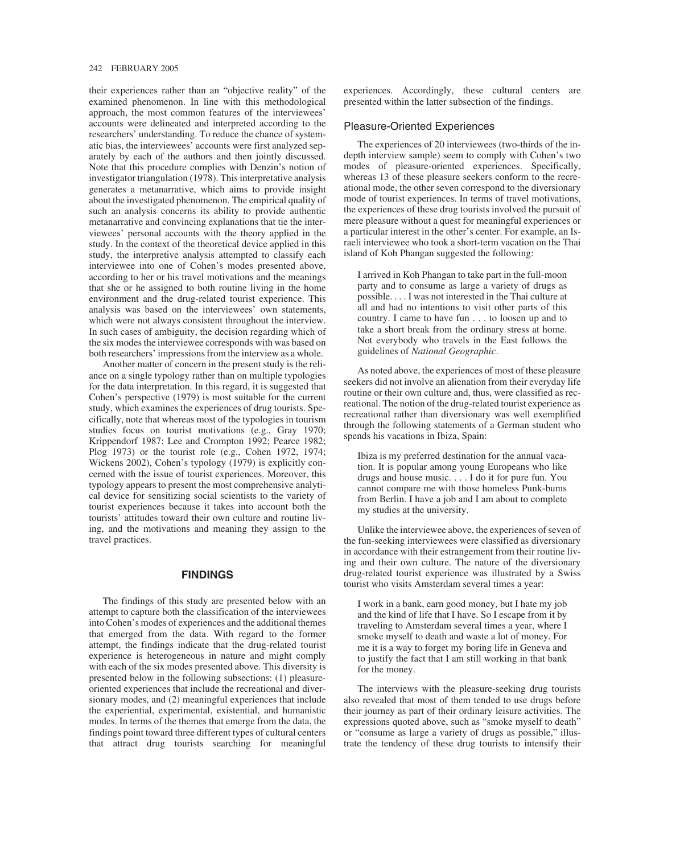their experiences rather than an "objective reality" of the examined phenomenon. In line with this methodological approach, the most common features of the interviewees' accounts were delineated and interpreted according to the researchers' understanding. To reduce the chance of systematic bias, the interviewees' accounts were first analyzed separately by each of the authors and then jointly discussed. Note that this procedure complies with Denzin's notion of investigator triangulation (1978). This interpretative analysis generates a metanarrative, which aims to provide insight about the investigated phenomenon. The empirical quality of such an analysis concerns its ability to provide authentic metanarrative and convincing explanations that tie the interviewees' personal accounts with the theory applied in the study. In the context of the theoretical device applied in this study, the interpretive analysis attempted to classify each interviewee into one of Cohen's modes presented above, according to her or his travel motivations and the meanings that she or he assigned to both routine living in the home environment and the drug-related tourist experience. This analysis was based on the interviewees' own statements, which were not always consistent throughout the interview. In such cases of ambiguity, the decision regarding which of the six modes the interviewee corresponds with was based on both researchers' impressions from the interview as a whole.

Another matter of concern in the present study is the reliance on a single typology rather than on multiple typologies for the data interpretation. In this regard, it is suggested that Cohen's perspective (1979) is most suitable for the current study, which examines the experiences of drug tourists. Specifically, note that whereas most of the typologies in tourism studies focus on tourist motivations (e.g., Gray 1970; Krippendorf 1987; Lee and Crompton 1992; Pearce 1982; Plog 1973) or the tourist role (e.g., Cohen 1972, 1974; Wickens 2002), Cohen's typology (1979) is explicitly concerned with the issue of tourist experiences. Moreover, this typology appears to present the most comprehensive analytical device for sensitizing social scientists to the variety of tourist experiences because it takes into account both the tourists' attitudes toward their own culture and routine living, and the motivations and meaning they assign to the travel practices.

## **FINDINGS**

The findings of this study are presented below with an attempt to capture both the classification of the interviewees into Cohen's modes of experiences and the additional themes that emerged from the data. With regard to the former attempt, the findings indicate that the drug-related tourist experience is heterogeneous in nature and might comply with each of the six modes presented above. This diversity is presented below in the following subsections: (1) pleasureoriented experiences that include the recreational and diversionary modes, and (2) meaningful experiences that include the experiential, experimental, existential, and humanistic modes. In terms of the themes that emerge from the data, the findings point toward three different types of cultural centers that attract drug tourists searching for meaningful

experiences. Accordingly, these cultural centers are presented within the latter subsection of the findings.

#### Pleasure-Oriented Experiences

The experiences of 20 interviewees (two-thirds of the indepth interview sample) seem to comply with Cohen's two modes of pleasure-oriented experiences. Specifically, whereas 13 of these pleasure seekers conform to the recreational mode, the other seven correspond to the diversionary mode of tourist experiences. In terms of travel motivations, the experiences of these drug tourists involved the pursuit of mere pleasure without a quest for meaningful experiences or a particular interest in the other's center. For example, an Israeli interviewee who took a short-term vacation on the Thai island of Koh Phangan suggested the following:

I arrived in Koh Phangan to take part in the full-moon party and to consume as large a variety of drugs as possible. . . . I was not interested in the Thai culture at all and had no intentions to visit other parts of this country. I came to have fun . . . to loosen up and to take a short break from the ordinary stress at home. Not everybody who travels in the East follows the guidelines of *National Geographic*.

As noted above, the experiences of most of these pleasure seekers did not involve an alienation from their everyday life routine or their own culture and, thus, were classified as recreational. The notion of the drug-related tourist experience as recreational rather than diversionary was well exemplified through the following statements of a German student who spends his vacations in Ibiza, Spain:

Ibiza is my preferred destination for the annual vacation. It is popular among young Europeans who like drugs and house music. . . . I do it for pure fun. You cannot compare me with those homeless Punk-bums from Berlin. I have a job and I am about to complete my studies at the university.

Unlike the interviewee above, the experiences of seven of the fun-seeking interviewees were classified as diversionary in accordance with their estrangement from their routine living and their own culture. The nature of the diversionary drug-related tourist experience was illustrated by a Swiss tourist who visits Amsterdam several times a year:

I work in a bank, earn good money, but I hate my job and the kind of life that I have. So I escape from it by traveling to Amsterdam several times a year, where I smoke myself to death and waste a lot of money. For me it is a way to forget my boring life in Geneva and to justify the fact that I am still working in that bank for the money.

The interviews with the pleasure-seeking drug tourists also revealed that most of them tended to use drugs before their journey as part of their ordinary leisure activities. The expressions quoted above, such as "smoke myself to death" or "consume as large a variety of drugs as possible," illustrate the tendency of these drug tourists to intensify their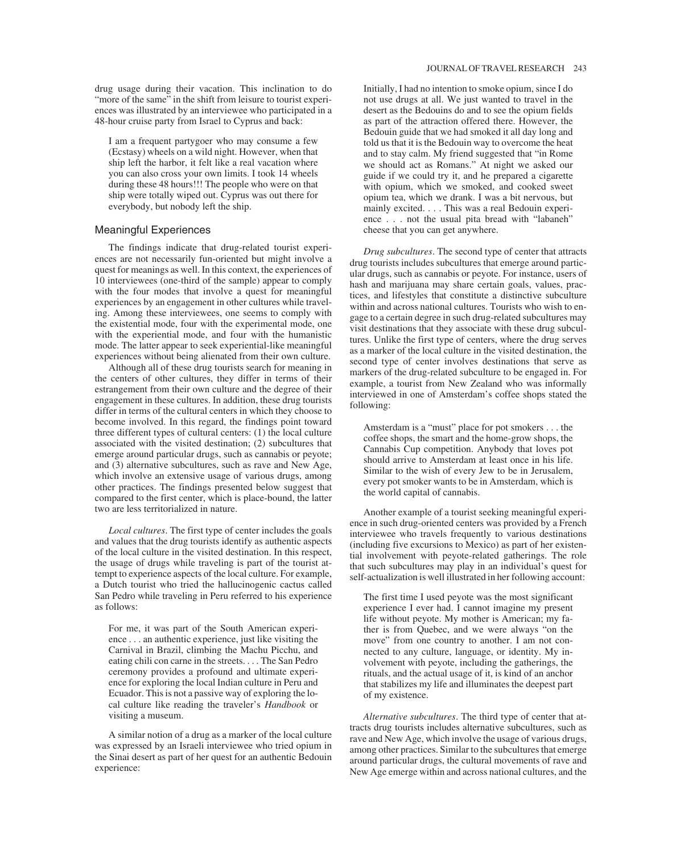drug usage during their vacation. This inclination to do "more of the same" in the shift from leisure to tourist experiences was illustrated by an interviewee who participated in a 48-hour cruise party from Israel to Cyprus and back:

I am a frequent partygoer who may consume a few (Ecstasy) wheels on a wild night. However, when that ship left the harbor, it felt like a real vacation where you can also cross your own limits. I took 14 wheels during these 48 hours!!! The people who were on that ship were totally wiped out. Cyprus was out there for everybody, but nobody left the ship.

### Meaningful Experiences

The findings indicate that drug-related tourist experiences are not necessarily fun-oriented but might involve a quest for meanings as well. In this context, the experiences of 10 interviewees (one-third of the sample) appear to comply with the four modes that involve a quest for meaningful experiences by an engagement in other cultures while traveling. Among these interviewees, one seems to comply with the existential mode, four with the experimental mode, one with the experiential mode, and four with the humanistic mode. The latter appear to seek experiential-like meaningful experiences without being alienated from their own culture.

Although all of these drug tourists search for meaning in the centers of other cultures, they differ in terms of their estrangement from their own culture and the degree of their engagement in these cultures. In addition, these drug tourists differ in terms of the cultural centers in which they choose to become involved. In this regard, the findings point toward three different types of cultural centers: (1) the local culture associated with the visited destination; (2) subcultures that emerge around particular drugs, such as cannabis or peyote; and (3) alternative subcultures, such as rave and New Age, which involve an extensive usage of various drugs, among other practices. The findings presented below suggest that compared to the first center, which is place-bound, the latter two are less territorialized in nature.

*Local cultures*. The first type of center includes the goals and values that the drug tourists identify as authentic aspects of the local culture in the visited destination. In this respect, the usage of drugs while traveling is part of the tourist attempt to experience aspects of the local culture. For example, a Dutch tourist who tried the hallucinogenic cactus called San Pedro while traveling in Peru referred to his experience as follows:

For me, it was part of the South American experience . . . an authentic experience, just like visiting the Carnival in Brazil, climbing the Machu Picchu, and eating chili con carne in the streets. . . . The San Pedro ceremony provides a profound and ultimate experience for exploring the local Indian culture in Peru and Ecuador. This is not a passive way of exploring the local culture like reading the traveler's *Handbook* or visiting a museum.

A similar notion of a drug as a marker of the local culture was expressed by an Israeli interviewee who tried opium in the Sinai desert as part of her quest for an authentic Bedouin experience:

Initially, I had no intention to smoke opium, since I do not use drugs at all. We just wanted to travel in the desert as the Bedouins do and to see the opium fields as part of the attraction offered there. However, the Bedouin guide that we had smoked it all day long and told us that it is the Bedouin way to overcome the heat and to stay calm. My friend suggested that "in Rome we should act as Romans." At night we asked our guide if we could try it, and he prepared a cigarette with opium, which we smoked, and cooked sweet opium tea, which we drank. I was a bit nervous, but mainly excited. . . . This was a real Bedouin experience . . . not the usual pita bread with "labaneh" cheese that you can get anywhere.

*Drug subcultures*. The second type of center that attracts drug tourists includes subcultures that emerge around particular drugs, such as cannabis or peyote. For instance, users of hash and marijuana may share certain goals, values, practices, and lifestyles that constitute a distinctive subculture within and across national cultures. Tourists who wish to engage to a certain degree in such drug-related subcultures may visit destinations that they associate with these drug subcultures. Unlike the first type of centers, where the drug serves as a marker of the local culture in the visited destination, the second type of center involves destinations that serve as markers of the drug-related subculture to be engaged in. For example, a tourist from New Zealand who was informally interviewed in one of Amsterdam's coffee shops stated the following:

Amsterdam is a "must" place for pot smokers . . . the coffee shops, the smart and the home-grow shops, the Cannabis Cup competition. Anybody that loves pot should arrive to Amsterdam at least once in his life. Similar to the wish of every Jew to be in Jerusalem, every pot smoker wants to be in Amsterdam, which is the world capital of cannabis.

Another example of a tourist seeking meaningful experience in such drug-oriented centers was provided by a French interviewee who travels frequently to various destinations (including five excursions to Mexico) as part of her existential involvement with peyote-related gatherings. The role that such subcultures may play in an individual's quest for self-actualization is well illustrated in her following account:

The first time I used peyote was the most significant experience I ever had. I cannot imagine my present life without peyote. My mother is American; my father is from Quebec, and we were always "on the move" from one country to another. I am not connected to any culture, language, or identity. My involvement with peyote, including the gatherings, the rituals, and the actual usage of it, is kind of an anchor that stabilizes my life and illuminates the deepest part of my existence.

*Alternative subcultures*. The third type of center that attracts drug tourists includes alternative subcultures, such as rave and New Age, which involve the usage of various drugs, among other practices. Similar to the subcultures that emerge around particular drugs, the cultural movements of rave and New Age emerge within and across national cultures, and the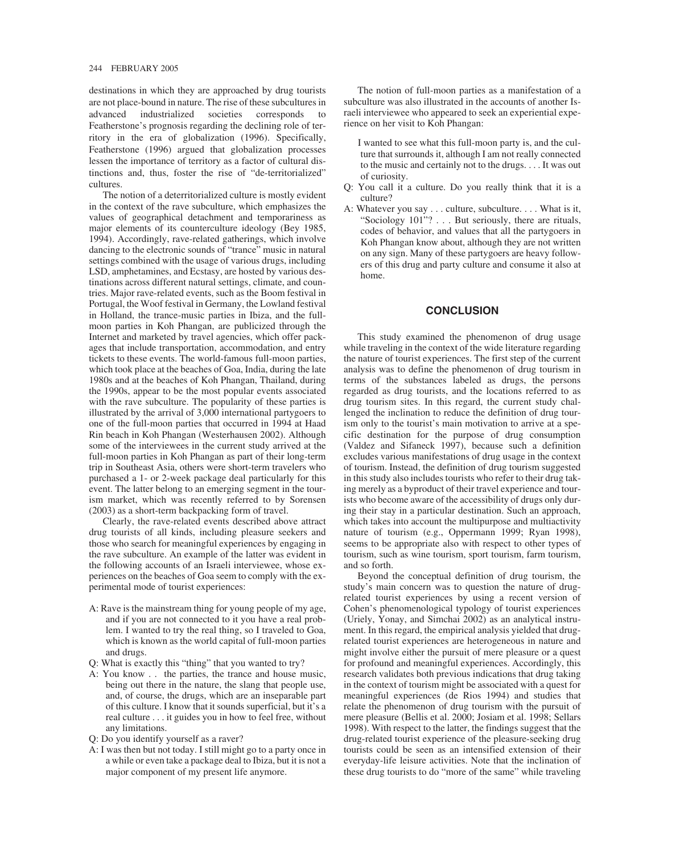destinations in which they are approached by drug tourists are not place-bound in nature. The rise of these subcultures in advanced industrialized societies corresponds to Featherstone's prognosis regarding the declining role of territory in the era of globalization (1996). Specifically, Featherstone (1996) argued that globalization processes lessen the importance of territory as a factor of cultural distinctions and, thus, foster the rise of "de-territorialized" cultures.

The notion of a deterritorialized culture is mostly evident in the context of the rave subculture, which emphasizes the values of geographical detachment and temporariness as major elements of its counterculture ideology (Bey 1985, 1994). Accordingly, rave-related gatherings, which involve dancing to the electronic sounds of "trance" music in natural settings combined with the usage of various drugs, including LSD, amphetamines, and Ecstasy, are hosted by various destinations across different natural settings, climate, and countries. Major rave-related events, such as the Boom festival in Portugal, the Woof festival in Germany, the Lowland festival in Holland, the trance-music parties in Ibiza, and the fullmoon parties in Koh Phangan, are publicized through the Internet and marketed by travel agencies, which offer packages that include transportation, accommodation, and entry tickets to these events. The world-famous full-moon parties, which took place at the beaches of Goa, India, during the late 1980s and at the beaches of Koh Phangan, Thailand, during the 1990s, appear to be the most popular events associated with the rave subculture. The popularity of these parties is illustrated by the arrival of 3,000 international partygoers to one of the full-moon parties that occurred in 1994 at Haad Rin beach in Koh Phangan (Westerhausen 2002). Although some of the interviewees in the current study arrived at the full-moon parties in Koh Phangan as part of their long-term trip in Southeast Asia, others were short-term travelers who purchased a 1- or 2-week package deal particularly for this event. The latter belong to an emerging segment in the tourism market, which was recently referred to by Sorensen (2003) as a short-term backpacking form of travel.

Clearly, the rave-related events described above attract drug tourists of all kinds, including pleasure seekers and those who search for meaningful experiences by engaging in the rave subculture. An example of the latter was evident in the following accounts of an Israeli interviewee, whose experiences on the beaches of Goa seem to comply with the experimental mode of tourist experiences:

- A: Rave is the mainstream thing for young people of my age, and if you are not connected to it you have a real problem. I wanted to try the real thing, so I traveled to Goa, which is known as the world capital of full-moon parties and drugs.
- Q: What is exactly this "thing" that you wanted to try?
- A: You know . . the parties, the trance and house music, being out there in the nature, the slang that people use, and, of course, the drugs, which are an inseparable part of this culture. I know that it sounds superficial, but it's a real culture . . . it guides you in how to feel free, without any limitations.
- Q: Do you identify yourself as a raver?
- A: I was then but not today. I still might go to a party once in a while or even take a package deal to Ibiza, but it is not a major component of my present life anymore.

The notion of full-moon parties as a manifestation of a subculture was also illustrated in the accounts of another Israeli interviewee who appeared to seek an experiential experience on her visit to Koh Phangan:

I wanted to see what this full-moon party is, and the culture that surrounds it, although I am not really connected to the music and certainly not to the drugs. . . . It was out of curiosity.

- Q: You call it a culture. Do you really think that it is a culture?
- A: Whatever you say . . . culture, subculture. . . . What is it, "Sociology 101"? . . . But seriously, there are rituals, codes of behavior, and values that all the partygoers in Koh Phangan know about, although they are not written on any sign. Many of these partygoers are heavy followers of this drug and party culture and consume it also at home.

## **CONCLUSION**

This study examined the phenomenon of drug usage while traveling in the context of the wide literature regarding the nature of tourist experiences. The first step of the current analysis was to define the phenomenon of drug tourism in terms of the substances labeled as drugs, the persons regarded as drug tourists, and the locations referred to as drug tourism sites. In this regard, the current study challenged the inclination to reduce the definition of drug tourism only to the tourist's main motivation to arrive at a specific destination for the purpose of drug consumption (Valdez and Sifaneck 1997), because such a definition excludes various manifestations of drug usage in the context of tourism. Instead, the definition of drug tourism suggested in this study also includes tourists who refer to their drug taking merely as a byproduct of their travel experience and tourists who become aware of the accessibility of drugs only during their stay in a particular destination. Such an approach, which takes into account the multipurpose and multiactivity nature of tourism (e.g., Oppermann 1999; Ryan 1998), seems to be appropriate also with respect to other types of tourism, such as wine tourism, sport tourism, farm tourism, and so forth.

Beyond the conceptual definition of drug tourism, the study's main concern was to question the nature of drugrelated tourist experiences by using a recent version of Cohen's phenomenological typology of tourist experiences (Uriely, Yonay, and Simchai 2002) as an analytical instrument. In this regard, the empirical analysis yielded that drugrelated tourist experiences are heterogeneous in nature and might involve either the pursuit of mere pleasure or a quest for profound and meaningful experiences. Accordingly, this research validates both previous indications that drug taking in the context of tourism might be associated with a quest for meaningful experiences (de Rios 1994) and studies that relate the phenomenon of drug tourism with the pursuit of mere pleasure (Bellis et al. 2000; Josiam et al. 1998; Sellars 1998). With respect to the latter, the findings suggest that the drug-related tourist experience of the pleasure-seeking drug tourists could be seen as an intensified extension of their everyday-life leisure activities. Note that the inclination of these drug tourists to do "more of the same" while traveling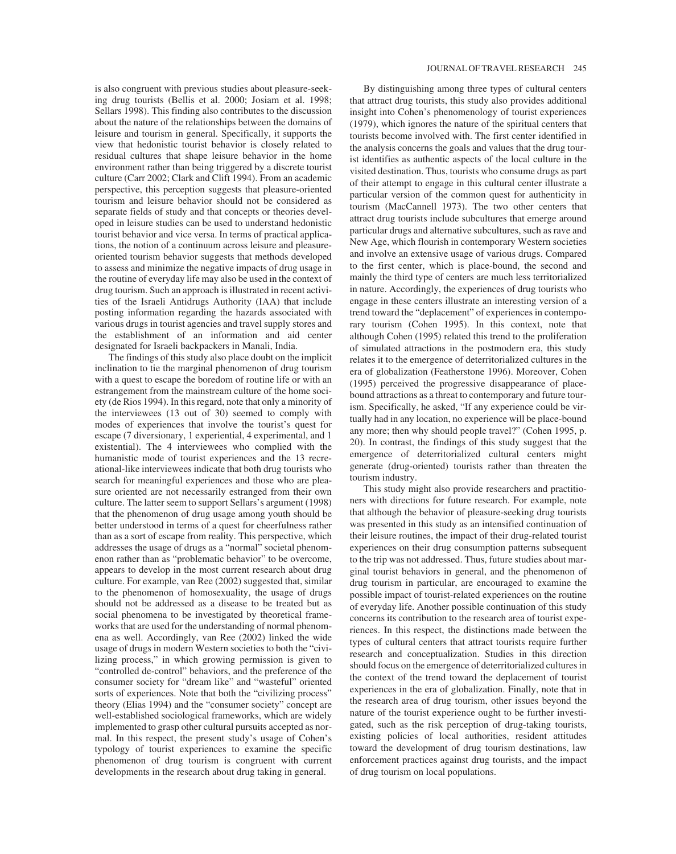is also congruent with previous studies about pleasure-seeking drug tourists (Bellis et al. 2000; Josiam et al. 1998; Sellars 1998). This finding also contributes to the discussion about the nature of the relationships between the domains of leisure and tourism in general. Specifically, it supports the view that hedonistic tourist behavior is closely related to residual cultures that shape leisure behavior in the home environment rather than being triggered by a discrete tourist culture (Carr 2002; Clark and Clift 1994). From an academic perspective, this perception suggests that pleasure-oriented tourism and leisure behavior should not be considered as separate fields of study and that concepts or theories developed in leisure studies can be used to understand hedonistic tourist behavior and vice versa. In terms of practical applications, the notion of a continuum across leisure and pleasureoriented tourism behavior suggests that methods developed to assess and minimize the negative impacts of drug usage in the routine of everyday life may also be used in the context of drug tourism. Such an approach is illustrated in recent activities of the Israeli Antidrugs Authority (IAA) that include posting information regarding the hazards associated with various drugs in tourist agencies and travel supply stores and the establishment of an information and aid center designated for Israeli backpackers in Manali, India.

The findings of this study also place doubt on the implicit inclination to tie the marginal phenomenon of drug tourism with a quest to escape the boredom of routine life or with an estrangement from the mainstream culture of the home society (de Rios 1994). In this regard, note that only a minority of the interviewees (13 out of 30) seemed to comply with modes of experiences that involve the tourist's quest for escape (7 diversionary, 1 experiential, 4 experimental, and 1 existential). The 4 interviewees who complied with the humanistic mode of tourist experiences and the 13 recreational-like interviewees indicate that both drug tourists who search for meaningful experiences and those who are pleasure oriented are not necessarily estranged from their own culture. The latter seem to support Sellars's argument (1998) that the phenomenon of drug usage among youth should be better understood in terms of a quest for cheerfulness rather than as a sort of escape from reality. This perspective, which addresses the usage of drugs as a "normal" societal phenomenon rather than as "problematic behavior" to be overcome, appears to develop in the most current research about drug culture. For example, van Ree (2002) suggested that, similar to the phenomenon of homosexuality, the usage of drugs should not be addressed as a disease to be treated but as social phenomena to be investigated by theoretical frameworks that are used for the understanding of normal phenomena as well. Accordingly, van Ree (2002) linked the wide usage of drugs in modern Western societies to both the "civilizing process," in which growing permission is given to "controlled de-control" behaviors, and the preference of the consumer society for "dream like" and "wasteful" oriented sorts of experiences. Note that both the "civilizing process" theory (Elias 1994) and the "consumer society" concept are well-established sociological frameworks, which are widely implemented to grasp other cultural pursuits accepted as normal. In this respect, the present study's usage of Cohen's typology of tourist experiences to examine the specific phenomenon of drug tourism is congruent with current developments in the research about drug taking in general.

By distinguishing among three types of cultural centers that attract drug tourists, this study also provides additional insight into Cohen's phenomenology of tourist experiences (1979), which ignores the nature of the spiritual centers that tourists become involved with. The first center identified in the analysis concerns the goals and values that the drug tourist identifies as authentic aspects of the local culture in the visited destination. Thus, tourists who consume drugs as part of their attempt to engage in this cultural center illustrate a particular version of the common quest for authenticity in tourism (MacCannell 1973). The two other centers that attract drug tourists include subcultures that emerge around particular drugs and alternative subcultures, such as rave and New Age, which flourish in contemporary Western societies and involve an extensive usage of various drugs. Compared to the first center, which is place-bound, the second and mainly the third type of centers are much less territorialized in nature. Accordingly, the experiences of drug tourists who engage in these centers illustrate an interesting version of a trend toward the "deplacement" of experiences in contemporary tourism (Cohen 1995). In this context, note that although Cohen (1995) related this trend to the proliferation of simulated attractions in the postmodern era, this study relates it to the emergence of deterritorialized cultures in the era of globalization (Featherstone 1996). Moreover, Cohen (1995) perceived the progressive disappearance of placebound attractions as a threat to contemporary and future tourism. Specifically, he asked, "If any experience could be virtually had in any location, no experience will be place-bound any more; then why should people travel?" (Cohen 1995, p. 20). In contrast, the findings of this study suggest that the emergence of deterritorialized cultural centers might generate (drug-oriented) tourists rather than threaten the tourism industry.

This study might also provide researchers and practitioners with directions for future research. For example, note that although the behavior of pleasure-seeking drug tourists was presented in this study as an intensified continuation of their leisure routines, the impact of their drug-related tourist experiences on their drug consumption patterns subsequent to the trip was not addressed. Thus, future studies about marginal tourist behaviors in general, and the phenomenon of drug tourism in particular, are encouraged to examine the possible impact of tourist-related experiences on the routine of everyday life. Another possible continuation of this study concerns its contribution to the research area of tourist experiences. In this respect, the distinctions made between the types of cultural centers that attract tourists require further research and conceptualization. Studies in this direction should focus on the emergence of deterritorialized cultures in the context of the trend toward the deplacement of tourist experiences in the era of globalization. Finally, note that in the research area of drug tourism, other issues beyond the nature of the tourist experience ought to be further investigated, such as the risk perception of drug-taking tourists, existing policies of local authorities, resident attitudes toward the development of drug tourism destinations, law enforcement practices against drug tourists, and the impact of drug tourism on local populations.